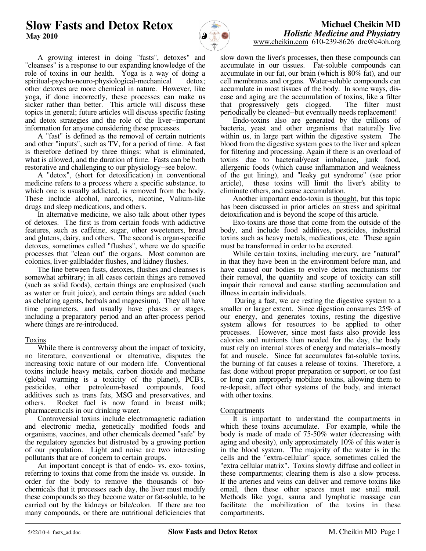# **Slow Fasts and Detox Retox May 2010**



# **Michael Cheikin MD** *Holistic Medicine and Physiatry* www.cheikin.com 610-239-8626 drc@c4oh.org

 A growing interest in doing "fasts", detoxes" and "cleanses" is a response to our expanding knowledge of the role of toxins in our health. Yoga is a way of doing a spiritual-psycho-neuro-physiological-mechanical detox; other detoxes are more chemical in nature. However, like yoga, if done incorrectly, these processes can make us sicker rather than better. This article will discuss these topics in general; future articles will discuss specific fasting and detox strategies and the role of the liver--important information for anyone considering these processes.

 A "fast" is defined as the removal of certain nutrients and other "inputs", such as TV, for a period of time. A fast is therefore defined by three things: what is eliminated, what is allowed, and the duration of time. Fasts can be both restorative and challenging to our physiology--see below.

 A "detox", (short for detoxification) in conventional medicine refers to a process where a specific substance, to which one is usually addicted, is removed from the body. These include alcohol, narcotics, nicotine, Valium-like drugs and sleep medications, and others.

 In alternative medicine, we also talk about other types of detoxes. The first is from certain foods with addictive features, such as caffeine, sugar, other sweeteners, bread and glutens, dairy, and others. The second is organ-specific detoxes, sometimes called "flushes", where we do specific processes that "clean out" the organs. Most common are colonics, liver-gallbladder flushes, and kidney flushes.

 The line between fasts, detoxes, flushes and cleanses is somewhat arbitrary; in all cases certain things are removed (such as solid foods), certain things are emphasized (such as water or fruit juice), and certain things are added (such as chelating agents, herbals and magnesium). They all have time parameters, and usually have phases or stages, including a preparatory period and an after-process period where things are re-introduced.

# Toxins

 While there is controversy about the impact of toxicity, no literature, conventional or alternative, disputes the increasing toxic nature of our modern life. Conventional toxins include heavy metals, carbon dioxide and methane (global warming is a toxicity of the planet), PCB's, pesticides, other petroleum-based compounds, food additives such as trans fats, MSG and preservatives, and others. Rocket fuel is now found in breast milk; pharmaceuticals in our drinking water.

 Controversial toxins include electromagnetic radiation and electronic media, genetically modified foods and organisms, vaccines, and other chemicals deemed "safe" by the regulatory agencies but distrusted by a growing portion of our population. Light and noise are two interesting pollutants that are of concern to certain groups.

 An important concept is that of endo- vs. exo- toxins, referring to toxins that come from the inside vs. outside. In order for the body to remove the thousands of biochemicals that it processes each day, the liver must modify these compounds so they become water or fat-soluble, to be carried out by the kidneys or bile/colon. If there are too many compounds, or there are nutritional deficiencies that

slow down the liver's processes, then these compounds can accumulate in our tissues. Fat-soluble compounds can accumulate in our fat, our brain (which is 80% fat), and our cell membranes and organs. Water-soluble compounds can accumulate in most tissues of the body. In some ways, disease and aging are the accumulation of toxins, like a filter that progressively gets clogged. The filter must periodically be cleaned--but eventually needs replacement!

 Endo-toxins also are generated by the trillions of bacteria, yeast and other organisms that naturally live within us, in large part within the digestive system. The blood from the digestive system goes to the liver and spleen for filtering and processing. Again if there is an overload of toxins due to bacterial/yeast imbalance, junk food, allergenic foods (which cause inflammation and weakness of the gut lining), and "leaky gut syndrome" (see prior article), these toxins will limit the liver's ability to eliminate others, and cause accumulation.

 Another important endo-toxin is thought, but this topic has been discussed in prior articles on stress and spiritual detoxification and is beyond the scope of this article.

 Exo-toxins are those that come from the outside of the body, and include food additives, pesticides, industrial toxins such as heavy metals, medications, etc. These again must be transformed in order to be excreted.

 While certain toxins, including mercury, are "natural" in that they have been in the environment before man, and have caused our bodies to evolve detox mechanisms for their removal, the quantity and scope of toxicity can still impair their removal and cause startling accumulation and illness in certain individuals.

 During a fast, we are resting the digestive system to a smaller or larger extent. Since digestion consumes 25% of our energy, and generates toxins, resting the digestive system allows for resources to be applied to other processes. However, since most fasts also provide less calories and nutrients than needed for the day, the body must rely on internal stores of energy and materials--mostly fat and muscle. Since fat accumulates fat-soluble toxins, the burning of fat causes a release of toxins. Therefore, a fast done without proper preparation or support, or too fast or long can improperly mobilize toxins, allowing them to re-deposit, affect other systems of the body, and interact with other toxins.

# Compartments

 It is important to understand the compartments in which these toxins accumulate. For example, while the body is made of made of 75-50% water (decreasing with aging and obesity), only approximately 10% of this water is in the blood system. The majority of the water is in the cells and the "extra-cellular" space, sometimes called the "extra cellular matrix". Toxins slowly diffuse and collect in these compartments; clearing them is also a slow process. If the arteries and veins can deliver and remove toxins like email, then these other spaces must use snail mail. Methods like yoga, sauna and lymphatic massage can facilitate the mobilization of the toxins in these compartments.